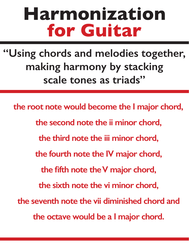## **Harmonization for Guitar**

**"Using chords and melodies together, making harmony by stacking scale tones as triads"**

 **the root note would become the I major chord, the second note the ii minor chord, the third note the iii minor chord, the fourth note the IV major chord, the fifth note the V major chord, the sixth note the vi minor chord, the seventh note the vii diminished chord and the octave would be a I major chord.**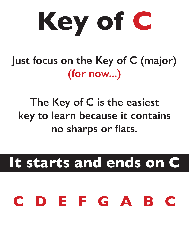

**Just focus on the Key of C (major) (for now...)** 

**The Key of C is the easiest key to learn because it contains no sharps or flats.**

**It starts and ends on C**

## **CDEFGABC**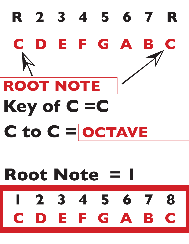## R 2 3 4 5 6 7 R CDEFGA B **ROOT NOTE** Key of C =C  $C$  to  $C =$  OCTAVE **Root Note = I** 2 3 4 5 6 7 8 E F G A B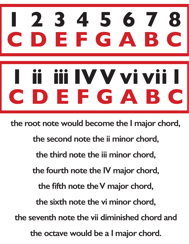# **12345678** EFGAB ii IV V vi vii **CDEFGABC**

 **the root note would become the I major chord, the second note the ii minor chord, the third note the iii minor chord, the fourth note the IV major chord, the fifth note the V major chord, the sixth note the vi minor chord, the seventh note the vii diminished chord and the octave would be a I major chord.**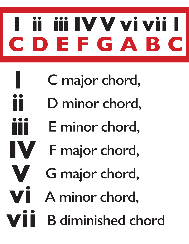## iii IVV vi vii DEFGABC  $\overline{\phantom{a}}$

- C major chord,
- D minor chord,
- E minor chord,
- F major chord,

IV

- G major chord,
- A minor chord,
- **B** diminished chord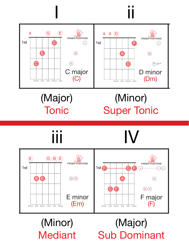

#### (Major) **Tonic**

#### (Minor) **Super Tonic** Tonic Super Tonic<br>The Cord Progression Chord Progression Chord Progression Chord Progression Chord Progression Chord Program Pro

(Major)

Sub Dominant

(Minor)

**Mediant** 

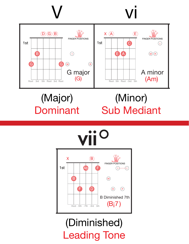

#### (Major) Dominant The Key of Chord Progression<br>The Key of Chord Progression

#### (Minor) Sub Mediant



### (Diminished) Leading Tone